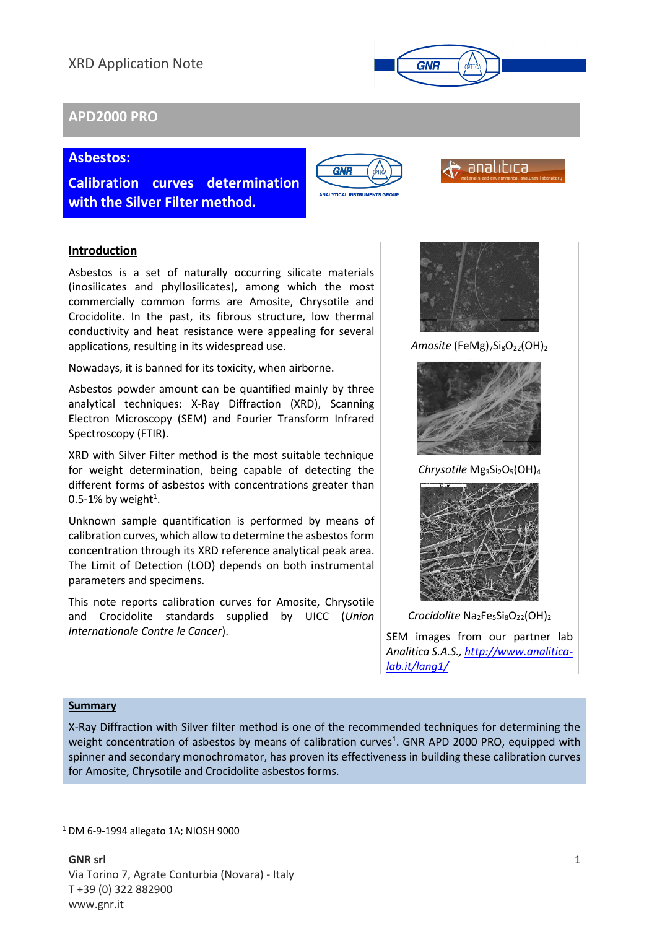# XRD Application Note



# **APD2000 PRO**

## **Asbestos:**

**Calibration curves determination with the Silver Filter method.**





## **Introduction**

Asbestos is a set of naturally occurring silicate materials (inosilicates and phyllosilicates), among which the most commercially common forms are Amosite, Chrysotile and Crocidolite. In the past, its fibrous structure, low thermal conductivity and heat resistance were appealing for several applications, resulting in its widespread use.

Nowadays, it is banned for its toxicity, when airborne.

Asbestos powder amount can be quantified mainly by three analytical techniques: X-Ray Diffraction (XRD), Scanning Electron Microscopy (SEM) and Fourier Transform Infrared Spectroscopy (FTIR).

XRD with Silver Filter method is the most suitable technique for weight determination, being capable of detecting the different forms of asbestos with concentrations greater than 0.5-1% by weight<sup>1</sup>.

Unknown sample quantification is performed by means of calibration curves, which allow to determine the asbestos form concentration through its XRD reference analytical peak area. The Limit of Detection (LOD) depends on both instrumental parameters and specimens.

This note reports calibration curves for Amosite, Chrysotile and Crocidolite standards supplied by UICC (*Union Internationale Contre le Cancer*).



Amosite (FeMg)<sub>7</sub>Si<sub>8</sub>O<sub>22</sub>(OH)<sub>2</sub>



*Chrysotile* Mg3Si2O5(OH)<sup>4</sup>



*Crocidolite* Na<sub>2</sub>Fe<sub>5</sub>Si<sub>8</sub>O<sub>22</sub>(OH)<sub>2</sub>

SEM images from our partner lab *Analitica S.A.S., [http://www.analitica](http://www.analitica-lab.it/lang1/)[lab.it/lang1/](http://www.analitica-lab.it/lang1/)*

### **Summary**

**.** 

X-Ray Diffraction with Silver filter method is one of the recommended techniques for determining the weight concentration of asbestos by means of calibration curves<sup>1</sup>. GNR APD 2000 PRO, equipped with spinner and secondary monochromator, has proven its effectiveness in building these calibration curves for Amosite, Chrysotile and Crocidolite asbestos forms.

<sup>1</sup> DM 6-9-1994 allegato 1A; NIOSH 9000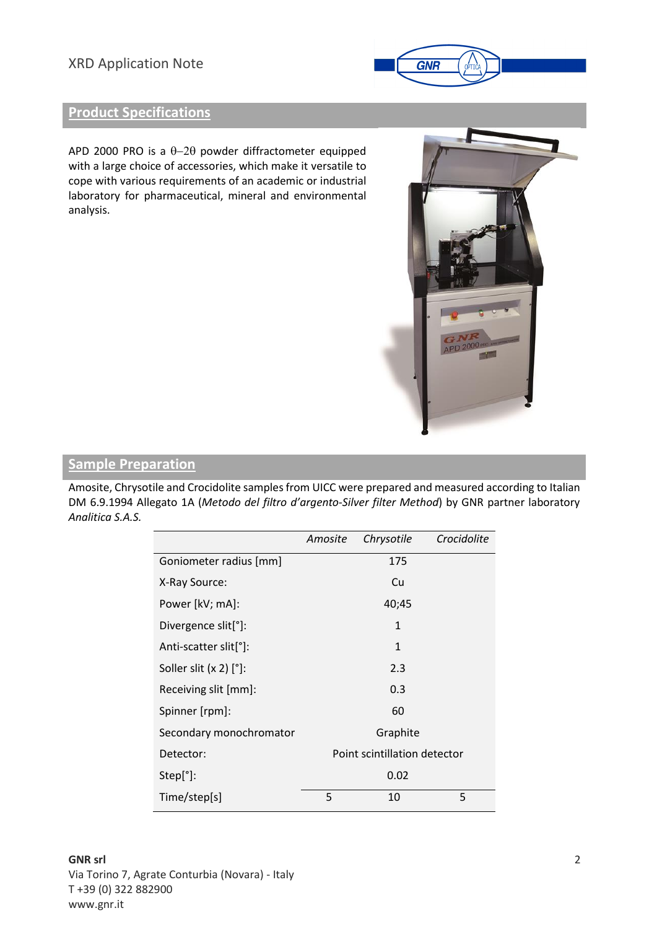# XRD Application Note



# **Product Specifications**

APD 2000 PRO is a  $\theta$ -2 $\theta$  powder diffractometer equipped with a large choice of accessories, which make it versatile to cope with various requirements of an academic or industrial laboratory for pharmaceutical, mineral and environmental analysis.



## **Sample Preparation**

Amosite, Chrysotile and Crocidolite samples from UICC were prepared and measured according to Italian DM 6.9.1994 Allegato 1A (*Metodo del filtro d'argento-Silver filter Method*) by GNR partner laboratory *Analitica S.A.S.*

|                                    | Amosite                      | Chrysotile | Crocidolite |
|------------------------------------|------------------------------|------------|-------------|
| Goniometer radius [mm]             |                              | 175        |             |
| X-Ray Source:                      |                              | Cu         |             |
| Power [kV; mA]:                    |                              | 40;45      |             |
| Divergence slit <sup>[°</sup> ]:   |                              | 1          |             |
| Anti-scatter slit <sup>[°</sup> ]: |                              | 1          |             |
| Soller slit $(x 2)$ $[°]$ :        |                              | 2.3        |             |
| Receiving slit [mm]:               |                              | 0.3        |             |
| Spinner [rpm]:                     |                              | 60         |             |
| Secondary monochromator            |                              | Graphite   |             |
| Detector:                          | Point scintillation detector |            |             |
| Step[°]:                           |                              | 0.02       |             |
| Time/step[s]                       | 5                            | 10         | 5           |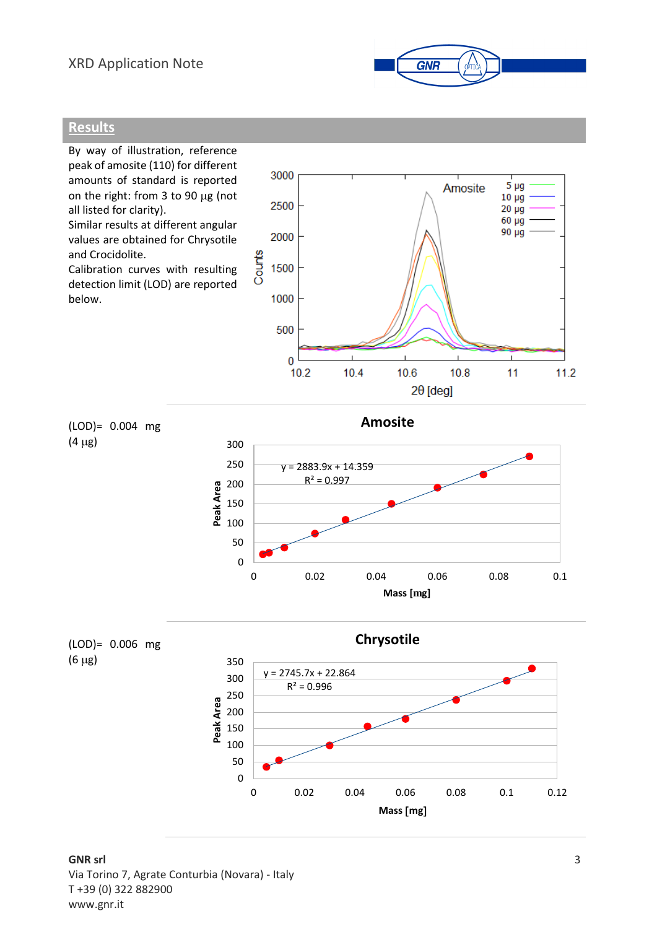## XRD Application Note



## **Results**

By way of illustration, reference peak of amosite (110) for different 3000 amounts of standard is reported on the right: from 3 to 90  $\mu$ g (not 2500 all listed for clarity). Similar results at different angular 2000 values are obtained for Chrysotile and Crocidolite. Counts 1500 Calibration curves with resulting detection limit (LOD) are reported 1000 below. 500







**GNR srl**  Via Torino 7, Agrate Conturbia (Novara) - Italy T +39 (0) 322 882900 www.gnr.it